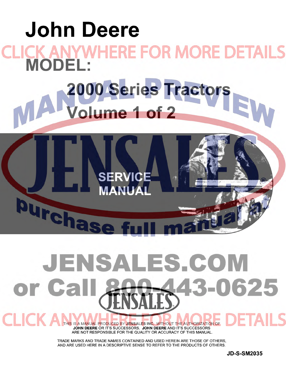

# JENSALES.COM 0625 or Ca HIC K

THIS IS A MANUAL PRODUCED BY JENSALES INC. WITHOUT THE AUTHORIZATION OF JOHN DEERE OR IT'S SUCCESSORS. JOHN DEERE AND IT'S SUCCESSORS ARE NOT RESPONSIBLE FOR THE QUALITY OR ACCURACY OF THIS MANUAL.

TRADE MARKS AND TRADE NAMES CONTAINED AND USED HEREIN ARE THOSE OF OTHERS, AND ARE USED HERE IN A DESCRIPTIVE SENSE TO REFER TO THE PRODUCTS OF OTHERS.

**JD-S-SM2035**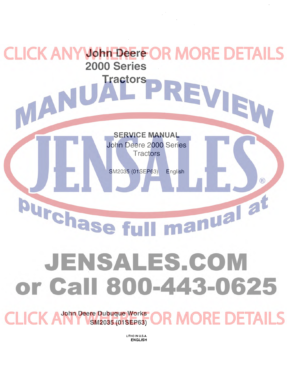# **John Deere**  KAI **[2000 Series](http://www.jensales.com/products/john-deere-2010-tractor-service-manual.html)  Tractors**  MAN **SERVICE MANUAL**  John Deere 2000 Series **Tractors** SM2035 (01 SEP63) English  $\left( \mathsf{R}\right)$ manual at burchase fu JENSALES.COM or Call 800-443-0625

**John Deere Dubuque Works R MORE DETAILS SM2035 (01 SEP63)** 

> LITHO IN U.S.A. ENGLISH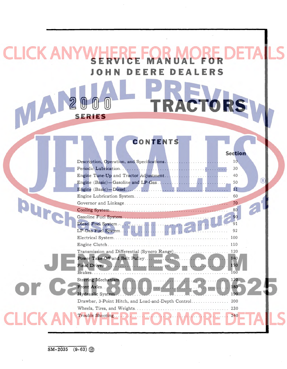## ICK AN **SERVICE MANUAL FOR**  JOHN DEERE **DEALERS**

**SERIES** 

## **CONTENTS**

2000 TRACTOR

|                     | 10              |  |
|---------------------|-----------------|--|
|                     | 30              |  |
|                     | 40              |  |
|                     | 50              |  |
|                     | 51              |  |
|                     | 60              |  |
|                     | 70              |  |
|                     |                 |  |
|                     | 90 <sup>°</sup> |  |
| Diesel Fuel System  |                 |  |
| LP-Gas Fuel System. | 92              |  |
|                     |                 |  |
|                     |                 |  |
|                     |                 |  |
|                     | 140             |  |
|                     | 150             |  |
|                     | 160             |  |
| Steering Mechanism. | 170             |  |
|                     | 180             |  |
| Hydraulic System    | 190             |  |
|                     |                 |  |
|                     | 230             |  |
|                     | 240             |  |
|                     |                 |  |

**Section**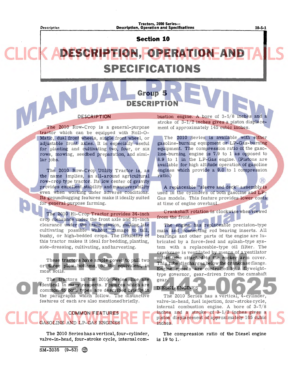*Description* 

#### Tractors, 2000 Series-**Description, Operation and Specifications 10-5-1** 10-5-1

**Section 10** 

**Group 5** 

**DESCRIPTION** 

## **[DESCRIPTION, OPERATION AND](http://www.jensales.com/products/john-deere-2010-tractor-service-manual.html)  SPECIFICATIONS**

#### DESCRIPTION

The 2010 Row-Crop is a general-purpose tractor which can be equipped with Roll-O-Matic, dual front wheels, single front wheel, or adjustable front axles. It is especially useful for planting and cultivating two, four, or six rows, mowing, seedbed preparation, and similar jobs.

The 2010 Row-Crop Utility Tractor is, as the name implies, an all-around agricultural row-crop type tractor. Its low center of gravity provides excellent stability and maneuverability even when working under adverse conditions. Its groundhugging features make it ideally suited for general purpose farming.

The 2010 Hi-Crop Tractor provides 34-inch crop clearance under the front axle and 31-inch clearance under the transmission, making late cultivating possible without damage to tall, bushy, or high-bedded crops. The flexibility of this tractor makes it ideal for bedding, planting, side-dressing, cultivating, and harvesting.

These tractors have ample power to pull two or three plow bottoms, or the equivalent, in most soils.

The tractors in the 2010 Series line are identical in many respects. Features which are common to both types are described briefly in the paragraphs which follow. The distinctive features of each are also mentioned briefly.

## COMMON FEATURES SOLINE AND LP-GAS ENGINES

The 2010 Series has a vertical, four-cylinder, valve-in-head, four-stroke cycle, internal combustion engine. A bore of 3-5/8 inches and a stroke of 3-1/2 inches gives a piston displacement of approximately 145 cubic inches.

The 2010 Series is available with either gasoline-burning eqUipment or LP-Gas-burning eqUipment. The compression ratio of the gasoline-burning engine is 7.9 to 1 as opposed to 8.9 to 1 in the LP-Gas engine. (Pistons are available for high altitude operation of gasoline engines which provide a 9.0 to 1 compression ratio.)

A replaceable "sleeve and deck" assembly is used in the cylinders of both gasoline and LP-Gas models. This feature provides lower costs at time of engine overhaul.

Crankshaft rotation is clockwise when viewed from the front.

The engine has replaceable precision-type main and connecting rod bearing inserts. All bearings and other parts of the engine are lubricated by a force-feed and splash-type system with a replaceable-type oil filter. The crankcase is ventilated by means of a ventilator outlet tube attached to the rocker arm cover. This tube discharges below the crankcase flange. Engine speeds are controlled by a flyweighttype governor, gear-driven from the camshaft gear.

DIESEL ENGINES

The 2010 Series has a vertical, 4-cylinder, valve-in-head, fuel injection, four-stroke cycle, internal combustion engine. A bore of 3-7/8 inches and a stroke of 3-1/2 inches gives a piston displacement of approximately 165 cubic inches.

The compression ratio of the Diesel engine is  $19$  to  $1$ .

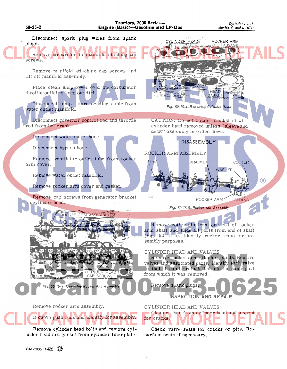

 $\overline{SM-2035}$   $(4-62)$   $\binom{20}{10}$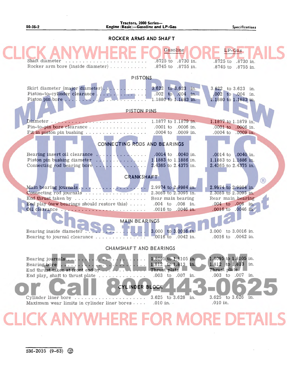## **Tractors, 2000** Series-50-35-2 **Engine** (Basic)-Gasoline **and LP-Gas**

*Specifications* 

| ROCKER ARMS AND SHAFT |                                                                                                                                                                                                                                                                                                                                                                                                                                                                                                                                                                                                                                                                     |                                                                                                                                                     |                                                                                                                                                                                        |  |
|-----------------------|---------------------------------------------------------------------------------------------------------------------------------------------------------------------------------------------------------------------------------------------------------------------------------------------------------------------------------------------------------------------------------------------------------------------------------------------------------------------------------------------------------------------------------------------------------------------------------------------------------------------------------------------------------------------|-----------------------------------------------------------------------------------------------------------------------------------------------------|----------------------------------------------------------------------------------------------------------------------------------------------------------------------------------------|--|
|                       | Shaft diameter<br>Rocker arm bore (inside diameter)                                                                                                                                                                                                                                                                                                                                                                                                                                                                                                                                                                                                                 | Gasoline<br>.8725 to .8730 in.<br>.8745 to .8755 in.                                                                                                | LP-Gas<br>.8725 to .8730 in.<br>.8745 to .8755 in.                                                                                                                                     |  |
|                       | <b>PISTONS</b>                                                                                                                                                                                                                                                                                                                                                                                                                                                                                                                                                                                                                                                      |                                                                                                                                                     |                                                                                                                                                                                        |  |
|                       | Skirt diameter (major diameter).<br>.<br>Piston-to-cylinder clearance                                                                                                                                                                                                                                                                                                                                                                                                                                                                                                                                                                                               | 3.622 to 3.623 in.<br>$.002$ to $.004$ in.<br>1.1880 to 1.1883 in.                                                                                  | 3.622 to 3.623 in.<br>.002 to .004 in.<br>1.1880 to 1.1883 in.                                                                                                                         |  |
|                       | <b>PISTON PINS</b>                                                                                                                                                                                                                                                                                                                                                                                                                                                                                                                                                                                                                                                  |                                                                                                                                                     |                                                                                                                                                                                        |  |
|                       | Pin-to-pin bore clearance<br>Fit in piston pin bushing $\ldots \ldots \ldots \ldots \ldots$                                                                                                                                                                                                                                                                                                                                                                                                                                                                                                                                                                         | 1.1877 to 1.1879 in.<br>$.0001$ to<br>.0006 in.<br>.0004 to .0009 in.                                                                               | 1.1877 to 1.1879 in.<br>.0001 to .0006 in.<br>.0004 to .0009 in.                                                                                                                       |  |
|                       | CONNECTING RODS AND BEARINGS                                                                                                                                                                                                                                                                                                                                                                                                                                                                                                                                                                                                                                        |                                                                                                                                                     |                                                                                                                                                                                        |  |
|                       | Bearing insert oil clearance<br>Piston pin bushing diameter                                                                                                                                                                                                                                                                                                                                                                                                                                                                                                                                                                                                         | .0014 to .0040 in.                                                                                                                                  | .0014 to .0040 in.<br>1.1883 to 1.1886 in.<br>2.4365 to 2.4375 in.                                                                                                                     |  |
|                       | <b>CRANKSHAFT</b>                                                                                                                                                                                                                                                                                                                                                                                                                                                                                                                                                                                                                                                   |                                                                                                                                                     |                                                                                                                                                                                        |  |
|                       | Connecting rod journals<br>End play (new bearings should restore this) $\ldots$ .<br>Oil clearance<br><b>MAIN BEARINGS</b><br>Bearing inside diameter<br>$\frac{1}{2} \left( \frac{1}{2} \right) \left( \frac{1}{2} \right) \left( \frac{1}{2} \right) \left( \frac{1}{2} \right) \left( \frac{1}{2} \right) \left( \frac{1}{2} \right) \left( \frac{1}{2} \right) \left( \frac{1}{2} \right) \left( \frac{1}{2} \right) \left( \frac{1}{2} \right) \left( \frac{1}{2} \right) \left( \frac{1}{2} \right) \left( \frac{1}{2} \right) \left( \frac{1}{2} \right) \left( \frac{1}{2} \right) \left( \frac{1}{2} \right) \left( \frac$<br>Bearing to journal clearance | 2.3085 to 2.3095 in.<br>Rear main bearing<br>.004 to .008 in.<br>.0016 to .0046 in.<br>3.000 to 3.0016 in.<br>$.0016 \text{ to } .0042 \text{ in.}$ | $\left( \mathsf{R}\right)$<br>2.9974 to 2.9984 in.<br>2.3085 to 2.3095 in.<br>Rear main bearing<br>.004 to .008 in.<br>.0016 to .0046 in.<br>3.000 to 3.0016 in.<br>.0016 to .0042 in. |  |
|                       |                                                                                                                                                                                                                                                                                                                                                                                                                                                                                                                                                                                                                                                                     |                                                                                                                                                     |                                                                                                                                                                                        |  |
|                       | <b>CHAMSHAFT AND BEARINGS</b>                                                                                                                                                                                                                                                                                                                                                                                                                                                                                                                                                                                                                                       |                                                                                                                                                     |                                                                                                                                                                                        |  |
|                       | Bearing journals<br>Bearing bore<br>$-1$<br>End thrust taken at front end by.<br>End play, shaft to thrust plate<br><b>CYLINDER BLOCK</b><br>Cylinder liner bore<br>Maximum wear limits in cylinder liner bores                                                                                                                                                                                                                                                                                                                                                                                                                                                     | 1.8095 to 1.8105 in.<br>1.812 to 1.813 in.<br>Thrust plate<br>.003 to .007 in.<br>3.625 to 3.626 in.<br>$.010$ in.                                  | 1.8095 to 1.8105 in.<br>$1.812$ to 1.813 in.<br>Thrust plate<br>.003 to .007 in.<br>3.625 to 3.626<br>in.<br>.010 in.                                                                  |  |
|                       | CK ANYWHERE FOR MOI                                                                                                                                                                                                                                                                                                                                                                                                                                                                                                                                                                                                                                                 |                                                                                                                                                     |                                                                                                                                                                                        |  |
|                       |                                                                                                                                                                                                                                                                                                                                                                                                                                                                                                                                                                                                                                                                     |                                                                                                                                                     |                                                                                                                                                                                        |  |

 $\overline{\text{SM-2035}}$  (9-63)  $\circledS$ 

 $\mathcal{L}^{\text{max}}$  $\sim$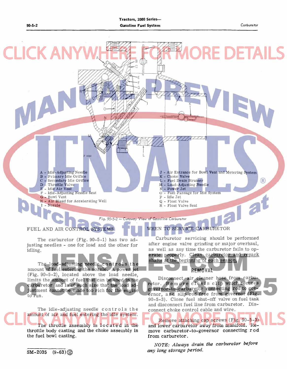

amount of fuel entering the nozzle. A power jet (Fig. 90-5-2), located above the load needle, limits the amount of fuel that can be used in the carburetor and is of such size that the load adjustment cannot be made too rich for the engine to run.

The idle-adjusting needle controls the amount of air and fuel entering the idle system. The throttle assembly is located in the throttle body casting and the choke assembly in the fuel bowl casting.

**REMOVAL** 

Disconnect air cleaner hose from carburetor. Remove clevis clip which secures governor-to-carburetor connecting rod to governor, and slip rod free from governor (Fig. 90-5-3). Close fuel shut-off valve on fuel tank and disconnect fuel line from carburetor. Disconnect choke control cable and wire.

Remove attaching cap screws (Fig. 90-5-3) and lower carburetor away from manifold. Re[move carburetor-to-governor connecting rod](http://www.jensales.com/products/john-deere-2010-tractor-service-manual.html)  from carburetor.

*NOTE: Always drain the carburetor before any long storage period.* 

 $SM-2035$   $(9-63)\binom{65}{60}$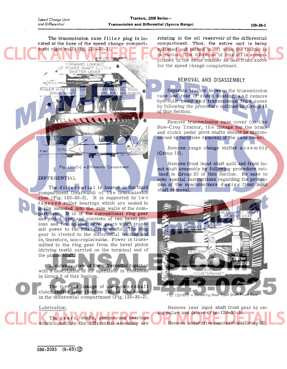'\

POWER SHAFT CLUT

**MQUILL** 

The transmission case filler plug is  $lo$ cated at the base of the speed change compartment right wall (Fig. 120-30-1).

DIFFERENTIAL RING<br>GEAR AND HOUSING

PINION

ORWARD LINKAGE OF POWER SHAFT CLUTCH<br>*※* SHIFTER LEVER

**TCH** 

rotating in the oil reservoir of the differential compartment. Thus, the entire unit is being splashed and bathed in oil when the tractor is in motion. The filtration of this oil is accomplished in the same manner as described above for the speed change compartment.

#### **REMOVAL AND DISASSEMBLY**

Separate tractor between the transmission case and rear of clutch housing, and remove hydraulic pump and transmission front cover by following the procedure outlined in Group 15 of this Section,

Remove transmission case cover (on the Row-Crop Tractor, the linkage for the brake and clutch pedal pivot shafts should be disconnected to facilitate removal of the case cover).

Remove range change shifter assembly (Group 10).

Remove front input shaft quill and front input shaft assembly by following procedure outlined in Group 20 of this Section. Be sure to note special instructions regarding the protection of the synchronizers during front input shaft removal.



*Fig. 720-30-3* -- *Removing Rear Input Shaft Front Gear* 

Remove rear input shaft front gear by using puller and driver (Fig. 120-30-3). Remove underdrive countershaft (Group 20).

*Fig. 720-30-2* .- *Differential Compartment* 

#### DIFFERENTIAL

QUIL

*T 2061* 

The differential is housed in the third compartment (rearward) of the transmission case (Fig. 120-30-2). It is supported by tw 0 tapered roller bearings which are seated in quills mounted into the side walls of the compartment. It is of the conventional ring gear and pinion type, and consists of two bevel pin- . ions and two splined bevel gears which transmit power to the final drive shafts. The ring gear is riveted to the differential housing and is, therefore, non-replaceable. Power is trans $\sim$ mitted to the ring gear from the bevel pinion (driving teeth) carried on the terminal end of the pinion shaft.

A cutaway view of the differential together with a description of its operation is contained in Group 5 of this Section.

The forward linkage of the power shaft clutch shifter lever (Section 140) is also housed in the differential compartment (Fig. 120-30-2).

The gears, shafts, pinions, and bearings which constitute the differential assembly are

Lubrication.

 $SM-2035$   $(9-63)$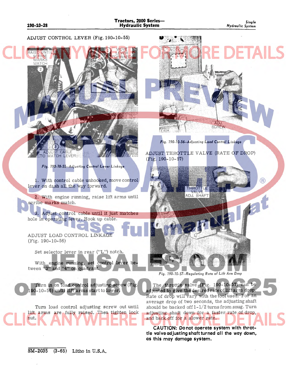ADJUST CONTROL LEVER (Fig. 190-10-55) **MA** *Fig.* 190.10.56 •• *Adjusting Load Control Linkage*  ADJUST THROTTLE VALVE (RATE OF DROP) **MATCH LEVERES**  $(Fig. 190-10-57)$ *Fig.* 190.10.55 •• *Adjusting Control Lever Linkage*   $\left( \widehat{\mathsf{R}}\right)$ 1. With control cable unhooked, move control lever on dash all the way forward. **ADJ. SHAFT** 2. With engine running, raise lift arms until scribe marks match. 3. Adjust control cable until it just matches hole in operating lever. Hook up cable. ADJUST LOAD CONTROL LINKAGE (Fig. 190-10-56) Set selector lever in rear ("L") notch. With engine running, set control lever between "3" and "4" on quadrant. *Fig.* 190.10.57 •• *Regulating Rate 01 Lilt Arm* Drop The throttle valve (Fig. 190-10-57) can be Turn in on load control adjusting screw (Fig. 190-10-56) until lift arms startto lower. [adjusted to give the desired rate of lift arm drop.](http://www.jensales.com/products/john-deere-2010-tractor-service-manual.html)  Rate of drop will vary with the tool used. For an average drop of two seconds, the adjusting shaft Turn load control adjusting screw out until should be backed off  $1-1/2$  turns from snug. Turn lift arms are fully raised. Then tighten lock adjusting shaft down for a faster rate of drop, nut. and back off for a slower rate.

CAUTION: Do not operate system with throttle valve adjusting shaft turned all the way down, as this may damage system.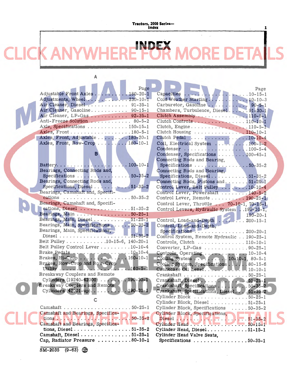#### **Tractors, 2000 Series— Index** 1

E

## **INDEX**  FTA

|                                   |  | Page |
|-----------------------------------|--|------|
| Adjustable Front Axles 180-20-1   |  |      |
| Adjustments, Wheel 230-10-1       |  |      |
| Air Cleaner, Diesel  91-35-1      |  |      |
| Air Cleaner, Gasoline 90-15-1     |  |      |
| Air Cleaner, LP-Gas  92-35-1      |  |      |
| Anti-Freeze Solution  80-5-2      |  |      |
| Axle, Specifications 150-15-1     |  |      |
| Axles, Front 180-5-1              |  |      |
| Axles, Front, Adjustable 180-20-1 |  |      |
| Axles, Front, Row-Crop  180-10-1  |  |      |

A

### B

| $\ldots$ . 100-10-1<br>Battery                                                                       |
|------------------------------------------------------------------------------------------------------|
| Bearings, Connecting Rods and,                                                                       |
| $.50 - 35 - 2$<br>Specifications                                                                     |
| Bearings, Connecting Rods and,                                                                       |
| Specifications, Diesel 51-35-2                                                                       |
| Bearings, Camshaft and, Specifi-                                                                     |
| cations<br>$\ldots 50 - 35 - 2$                                                                      |
| Bearings, Camshaft and, Specifi-                                                                     |
| cations, Diesel 51-35-2                                                                              |
| Bearings, Main 50-25-1                                                                               |
| Bearings, Main, Diesel51-25-1                                                                        |
| Bearings, Main, Specifications 50-35-2                                                               |
| Bearings, Main, Specifications,                                                                      |
| $.51 - 35 - 2$<br>Diesel $\ldots$<br>$\mathbf{r}$ , $\mathbf{r}$ , $\mathbf{r}$ , $\mathbf{r}$<br>n. |
| Belt Pulley 10-15-6, 140-20-1                                                                        |
| Belt Pulley Control Lever 10-10-4                                                                    |
|                                                                                                      |
| Brake Pedals 10-10-4<br>Brakes, Hi-Crop 160-10-1                                                     |
| Brakes, Row-Crop and Row-Crop                                                                        |
| $. 160 - 5 - 1$                                                                                      |
| <b>Breakaway Couplers and Remote</b>                                                                 |
| Cylinders $(19240 - 42000)$ 190-30-1                                                                 |
| <b>Breakaway Couplers and Remote</b>                                                                 |
| $.190 - 31 - 1$<br>Cylinders (42001-up)                                                              |
|                                                                                                      |

| tions $\ldots$ , $\ldots$ , $\ldots$ , $\ldots$ , $\ldots$ , $\ldots$ , $\ldots$ , $\ldots$ , $\ldots$ , $\ldots$ , $\ldots$ , $\ldots$ , $\ldots$ , $\ldots$ , $\ldots$ , $\ldots$ , $\ldots$ , $\ldots$ , $\ldots$ , $\ldots$ , $\ldots$ , $\ldots$ , $\ldots$ , $\ldots$ , $\ldots$ , $\ldots$ , $\ldots$ , $\ldots$ , $\ldots$ , $\ldots$ , $\ldots$ |
|----------------------------------------------------------------------------------------------------------------------------------------------------------------------------------------------------------------------------------------------------------------------------------------------------------------------------------------------------------|
| Camshaft and Bearings, Specifica-                                                                                                                                                                                                                                                                                                                        |
| tions, Diesel51-35-2                                                                                                                                                                                                                                                                                                                                     |
| Camshaft, Diesel 51-25-1                                                                                                                                                                                                                                                                                                                                 |
| Cap, Radiator Pressure 80-10-1                                                                                                                                                                                                                                                                                                                           |
|                                                                                                                                                                                                                                                                                                                                                          |

C

|                                                                       | Page                     |
|-----------------------------------------------------------------------|--------------------------|
| Capacities<br>$\epsilon$                                              | $\cdots$ 10-15-1         |
|                                                                       |                          |
|                                                                       |                          |
|                                                                       |                          |
|                                                                       |                          |
| Clutch Controls110-10-1                                               |                          |
| Clutch, Engine110-5-1                                                 |                          |
| Clutch Housing 110-10-1                                               |                          |
| Clutch Pedal 10-10-4                                                  |                          |
| Coil, Electrical System  100-5-2                                      |                          |
| Condenser 100-5-4                                                     |                          |
| Condenser, Specifications  100-45-1                                   |                          |
| Connecting Rods and Bearing,                                          |                          |
| Specifications 50-35-2                                                |                          |
| Connecting Rods and Bearing,                                          |                          |
| Specifications, Diesel  51-35-2                                       |                          |
| Connecting Rods, Pistons and 51-20-1                                  |                          |
| Control Lever, Belt Pulley  10-10-4                                   |                          |
| Control Lever, Powershaft  140-5-2                                    |                          |
| Control Lever, Remote 190-25-1                                        |                          |
| Control Lever, Throttle  70-10-1, 70-15-1                             |                          |
| Control Levers, Hydraulic System 190-10-1,                            |                          |
| Control, Load-and-Depth                                               | $190-20-1$<br>$200-15-1$ |
| Control, Load-and-Depth,                                              |                          |
| Specifications  200-20-1                                              |                          |
| Control System, Remote Hydraulic 190-25-1                             |                          |
| Controls, Clutch 110-10-1                                             |                          |
| Converter, LP-Gas 90-25-1                                             |                          |
|                                                                       |                          |
| Controls, Operating<br>Cooling System 10-10-1<br>10-10-1, 80-5-1      |                          |
|                                                                       |                          |
| Cooling System, Specifications 80-15-6<br>Crankcase Oil Level 10-10-1 |                          |
| Crankshaft 50-25-1                                                    |                          |
| Crankshaft, Diesel 51-25-1<br>Crankshaft, Specifications 50-35-2      |                          |
|                                                                       |                          |
| Crankshaft, Specifications, Diesel. 51-35-2                           |                          |
| Cylinder Block<br>. 50-25-1                                           |                          |
| Cylinder Block, Diesel 51-25-1                                        |                          |
|                                                                       |                          |
|                                                                       | $\ldots 50 - 35 - 2$     |
| Cylinder Block, Specifications<br>Cylinder Block, Specifications,     |                          |
| Diesel N.A.                                                           | $.51 - 35 - 2$           |
| Cylinder Head.<br>$\overline{\phantom{a}}$                            | $.50 - 15 - 1$           |
| Cylinder Head, Diesel<br>$\sim$ $\sim$ $\sim$ $\sim$                  | $.51 - 15 - 1$           |
| Cylinder Head Valve Seats,<br>Specifications                          | $.50 - 35 - 1$           |

 $\ddot{\phantom{a}}$ 

 $\hat{\mathcal{A}}$ 

 $\bar{\psi}$  $\bar{\psi}$ 

 $SM-2035$   $(9-63)$   $\circled{3}$ 

DL

CLIC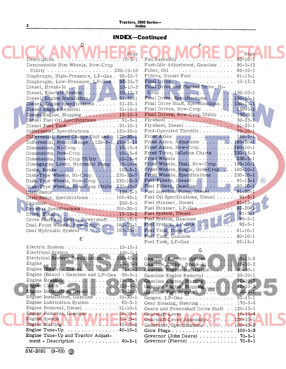## 2 Tractors, 2000 Series-Index

 $\bar{\bar{z}}$ 

 $\sim$ 

### **IN DEX-Continued**

| Description                                                 | Page<br>$10 - 5 - 1$ | Fast-Idle Adjustment, Gasoline 90-5-12                        | Page<br>$80 - 10 - 1$ |
|-------------------------------------------------------------|----------------------|---------------------------------------------------------------|-----------------------|
| Demountable Rim Wheels, Row-Crop                            |                      |                                                               |                       |
|                                                             |                      | Filter, Oil 60-10-1                                           |                       |
| Diaphragm, High-Pressure, LP-Gas.                           | $92 - 25 - 7$        | Filters, Diesel Fuel 91-15-1                                  |                       |
| Diaphragm, Low-Pressure, LP-Gas.                            | $92 - 25 - 7$        |                                                               |                       |
| Diesel, Break-In                                            | $10 - 10 - 3$        | Final Drive and Planter Drive, Hi-                            |                       |
| Diesel, Electric System                                     | $10 - 15 - 3$        |                                                               |                       |
|                                                             |                      | Final Drive, Specifications 150-15-1                          |                       |
| Diesel, Engine Specifications 51-35-1                       |                      | Final Drive Shaft, Specifications. 150-15-1                   |                       |
| Diesel Engine Removal 51-10-1                               |                      | Final Drives, Row-Crop $150-5+1$                              |                       |
| Diesel Engine, Stopping  10-10-3                            |                      | Final Drives, Row-Crop Utility 150-5-1                        |                       |
| Diesel Fuel Oil Specifications 91-5-1                       |                      |                                                               |                       |
| Diesel Fuel Tank 91-10-1                                    |                      | Flywheel, Diesel 51-25-1                                      |                       |
| Differential, Specifications 120-35-1                       |                      | Foot-Operated Throttle 70-10-1                                |                       |
| Differential, Speed Change Unit and. . 120-30-1             |                      | Front Axles 180-5-1                                           |                       |
| Differential, Syncro Range. 120-5-1, 120-5-15               |                      | Front Axles, Adjustable  180-20-1                             |                       |
| Dimensions, Hi-Crop 10-15-4                                 |                      | Front Axles, Row-Crop 180-10-1                                |                       |
| Dimensions, Row-Crop 10-15-4                                |                      | Front Tires, Inflation Charts 230-15-3                        |                       |
|                                                             |                      | Front Wheels                                                  | $230 - 5 - 1$         |
| Dimensions, Row-Crop Utility  10-15-4                       |                      | Front Wheels, Dual, Row-Crop $\ldots$ 180-10-1                |                       |
| Disengaging Lever, Hydraulic Pump . 10-10-4                 |                      |                                                               |                       |
| Disks, Brake 160-5-1                                        |                      | Front Wheels, Single, Row-Crop 180-10-1                       |                       |
| Disk-Type Wheels, Hi-Crop.  230-10-7                        |                      | Front Wheels, Specifications 230-20-1                         |                       |
| Disk-Type Wheels, $Row-Prop$ 230-10-3                       |                      | Fuel Filters, Diesel 91-15-1                                  | (R)                   |
| Disk-Type Wheels, Row-Crop Utility. 230-10-2                |                      | Fuel Filters, Gasoline  90-10-1                               |                       |
|                                                             |                      | Fuel Injection Pump, Diesel 91-20-1                           |                       |
| Distributor, Specifications 100-45-1                        |                      | Fuel Oil Specifications, Diesel 91-5-1                        |                       |
| Drawbar 200-5-1                                             |                      | Fuel Strainer, Diesel  91-15-1                                |                       |
| Drawbar Specifications 200-20-1                             |                      | Fuel Strainer, LP-Gas 92-20-1                                 |                       |
| Drive, Final 10-15-2                                        |                      | Fuel System, Diesel 91-5-1                                    |                       |
| Drive Shaft and Gears, Powershaft 120-15-1                  |                      | Fuel System, Gasoline                                         | $90 - 5 - 1$          |
| Dual Front Wheels, Row-Crop 180-10-1                        |                      | Fuel System, LP-Gas                                           | $92 - 5 - 1$          |
|                                                             |                      |                                                               |                       |
|                                                             |                      | Fuel Tank, Gasoline 90-10-1                                   |                       |
| Е                                                           |                      | Fuel Tank, LP-Gas 92-15-1                                     |                       |
|                                                             |                      |                                                               |                       |
| Electrical System 100-5-1                                   |                      | G                                                             |                       |
| Electrical System, Specifications 100-45-1                  |                      | Gasoline, Electric System                                     | $10 - 15 - 2$         |
|                                                             |                      | Gasoline Engine, Break-In                                     | $10 - 10 - 3$         |
|                                                             |                      | Gasoline Engine Installation                                  | $50 - 30 - 1$         |
| Engine (Basic) - Gasoline and LP-Gas 50-5-1                 |                      |                                                               | $50 - 10 - 1$         |
|                                                             |                      | Gasoline Engine Removal                                       |                       |
| Engine Break-In 10-10-3<br>Engine Clutch 110-5-1            |                      | Gasoline Engine, Starting                                     | $10 - 10 - 2$         |
| Engine Installation, Diesel 0.51-30-1                       |                      | Gasoline Engine, Stopping<br>Gasoline Fuel System             | $10 - 10 - 3$         |
|                                                             |                      |                                                               | $90 - 5 - 1$          |
| Engine Installation, Gasoline 50-30-1                       |                      | Gauges, LP-Gas  92-15-1                                       |                       |
| Engine Lubrication System 60-5-1                            |                      | Gear Housing, Steering 170-5-4                                |                       |
| Engine Removal, Diesel 51-10-1                              |                      | Gears and Powershaft Drive Shaft 120-15-1                     |                       |
| Engine Removal, Gasoline 50-10-1                            |                      |                                                               |                       |
| Engine Speeds 10-15-1                                       |                      | Gearshift Lever Assembly. 120-10-1                            |                       |
| Engine Starting 10-10-2                                     |                      | Generator, Specifications N.T. 100-45-2                       |                       |
| Engine Tune-Up $\ldots \ldots \ldots \ldots \ldots$ 40-10-1 |                      | Glow Plugs 100-5-3                                            |                       |
| Engine Tune-Up and Tractor Adjust-                          |                      | Governor (John Deere)  70-5-1                                 |                       |
| ment - Description $\ldots \ldots \ldots \ldots$ 40-5-1     |                      | Governor (Pierce) $\ldots \ldots \ldots \ldots \ldots$ 70-6-1 |                       |

 $\overline{SM-2035}$  (9-63)  $\circled{3}$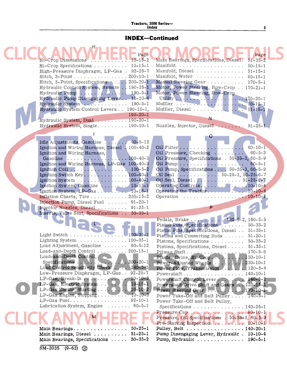#### Tractors, 2000 Series-**Index** 3

### **INDEX-Continued**

| Page                                                                                         | Page                                                           |
|----------------------------------------------------------------------------------------------|----------------------------------------------------------------|
| $10 - 15 - 2$<br>Hi-Crop Dimensions                                                          | Main Bearings, Specifications, Diesel.<br>$51 - 35 - 2$        |
| Hi-Crop Specifications<br>$10 - 15 - 1$                                                      | $50 - 15 - 1$                                                  |
| High-Pressure Diaphragm, LP-Gas . 92-25-7                                                    | Manifold, Diesel $\ldots$ 51-15-1                              |
| $200 - 10 - 1$<br>Hitch, $3$ -Point                                                          | Manifold, Water 80-15-1                                        |
| Hitch, 3-Point, Specifications  200-20-1                                                     | Manual Steering Gear 170-5-1                                   |
| $190 - 25 - 1$<br>Hydraulic Control System, Remote                                           | Motor, Power Steering, Row-Crop 170-21-1                       |
| $190 - 5 - 1$<br>Hydraulic Pump                                                              | Motor, Power Steering, Row-Crop                                |
| Hydraulic Pump Disengaging Lever 10-10-4                                                     |                                                                |
| Hydraulic System<br>$190 - 5 - 1$                                                            |                                                                |
| Hydraulic System Control Levers 190-10-1,                                                    | Muffler, Diesel 51-15-1                                        |
| $190 - 20 - 1$                                                                               | N                                                              |
| Hydraulic System, Dual  190-20-1                                                             |                                                                |
| Hydraulic System, Single 190-10-1                                                            | Nozzles, Injector, Diesel $91-25-1$                            |
|                                                                                              |                                                                |
|                                                                                              |                                                                |
| $90 - 5 - 12$<br>Idle Adjustments, Gasoline<br>$100 - 40 - 2$                                | $60 - 10 - 1$                                                  |
| Ignition and Wiring Harness, Diesel<br>Ignition and Wiring Harness,                          | $60 - 5 - 3$                                                   |
| $100 - 40 - 3$                                                                               | Oil Pressure, Checking                                         |
| Gasoline<br>Ignition and Wiring Harness, LP-Gas 100-40-3                                     | Oil Pressure, Specifications . 50-35-3, 60-5-9<br>$60 - 5 - 1$ |
| Ignition Coil 100-5-2                                                                        | Oil Pump, Specifications 50-35-3, 60-5-9                       |
| Ignition Switch Key 100-40-1                                                                 | Oil Seal 50-25-3, 50-25-6-7                                    |
| Ignition System 100-40-1                                                                     | Oil Seal, Diesel 51-25-6-7                                     |
| Ignition System, Gasoline  10-15-1                                                           |                                                                |
| Ignition System, LP-Gas 10-15-1                                                              | Operating the Tractor10-10-4                                   |
| Inflation Charts, Tire 230-15-2                                                              | Operation 10-10-1                                              |
| Injection Pump, Diesel Fuel  91-20-1                                                         |                                                                |
| Injector Nozzles, Diesel  91-25-1                                                            | P                                                              |
|                                                                                              |                                                                |
|                                                                                              |                                                                |
| Inserts, Valve Seat, Specifications<br>$50 - 35 - 1$                                         |                                                                |
|                                                                                              | Pedals, Brake 160-5-2, 160-5-5                                 |
|                                                                                              | Piston Pins, Specifications 50-35-2                            |
|                                                                                              | Piston Pins, Specifications, Diesel 51-35-1                    |
| Light Switch 100-35-1                                                                        | Pistons and Connecting Rods 51-20-1                            |
| Lighting System $\ldots \ldots \ldots \ldots 100-35-1$<br>Load Adjustment, Gasoline  90-5-12 | Pistons, Specifications 50-35-2                                |
|                                                                                              | Pistons, Specifications, Diesel 51-35-1                        |
| Load-and-Depth Control $\ldots \ldots \ldots 200-15-1$<br>Load-and-Depth Control,            | $170 - 5 - 6$<br>Pitman Shaft                                  |
| $\ldots$ 200-20-1<br>Specifications                                                          |                                                                |
| Load Control Sensitivity Check  240-5-1                                                      | Power-Adjusted Wheels  1. 230-10-1                             |
| Low-Pressure Diaphragm, LP-Gas 92-25-7                                                       | Power Flow, Transmission 120-5-4                               |
| $10 - 10 - 3$                                                                                |                                                                |
| LP-Gas, Electric System<br>$10 - 15 - 1$                                                     | Powershaft Drive Shaft and Gears 120-15-1                      |
|                                                                                              |                                                                |
| LP-Gas Engine, Stopping 10-10-3                                                              | Power Take-Off and Belt Pulley 140-5-1                         |
| $LP-Gas$ Fuel 92-10-1                                                                        | Power Take-Off and Belt Pulley,                                |
| Lubrication System, Engine 60-5-1                                                            | Specifications 140-25-1                                        |
|                                                                                              | Pressure Cap $\cdots$ $\cdots$ $\cdots$ $\cdots$               |
|                                                                                              | Pressure, Oil Specifications . 50-35-3, 60-5-9                 |
|                                                                                              |                                                                |
| $50 - 25 - 1$                                                                                | Pulley, Belt $\ldots \ldots \ldots \ldots \ldots 140-20-1$     |
| Main Bearings, Diesel<br>$51 - 25 - 1$                                                       | Pump Disengaging Lever, Hydraulic . 10-10-4                    |
| Main Bearings, Specifications<br>$50 - 35 - 2$                                               | Pump, Hydraulic 190-5-1                                        |
| $SM-2035$ (9-63) $\binom{55}{10}$                                                            |                                                                |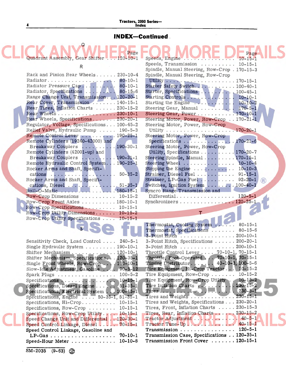## Tractors, 2000 Series-Index

### **INDEX-Continued.**

|                                                                           | Page          |                                                                                                                                         | Page          |     |
|---------------------------------------------------------------------------|---------------|-----------------------------------------------------------------------------------------------------------------------------------------|---------------|-----|
| Quadrant Assembly, Gear Shifter  120-10-1                                 |               | Speeds, Engine                                                                                                                          | $10 - 15 - 1$ |     |
|                                                                           |               | Speeds, Transmission  10-15-1                                                                                                           |               |     |
| R                                                                         |               | Spindle, Manual Steering, Row-Crop. 170-15-3                                                                                            |               |     |
| Rack and Pinion Rear Wheels 230-10-4                                      |               | Spindle, Manual Steering, Row-Crop                                                                                                      |               |     |
|                                                                           | $80 - 10 - 1$ |                                                                                                                                         |               |     |
| Radiator Pressure Cap                                                     | $80 - 10 - 1$ | Starter Safety Switch. 100-40-1                                                                                                         |               |     |
| Radiator, Specifications                                                  | $80 - 15 - 6$ | Starter, Specifications  100-45-1                                                                                                       |               |     |
| Range Change Unit, Transmission 120-20-1                                  |               | Starting Controls  10-10-1                                                                                                              |               |     |
| Rear Cover, Transmission  140-15-1                                        |               | Starting the Engine $\ldots \ldots \ldots \ldots 10-10-2$                                                                               |               |     |
| Rear Tires, Inflation Charts 230-15-2                                     |               | Steering Gear, Manual  170-5-1                                                                                                          |               |     |
| Rear Wheels 230-10-1                                                      |               | Steering Gear, Power170-10-1                                                                                                            |               |     |
| Rear Wheels, Specifications 230-20-1                                      |               | Steering Motor, Power, Row-Crop 170-21-1                                                                                                |               |     |
| Regulator, Voltage, Specifications 100-45-2                               |               | Steering Motor, Power, Row-Crop                                                                                                         |               |     |
| Relief Valve, Hydraulic Pump 190-5-3                                      |               |                                                                                                                                         |               |     |
| Remote Control Lever  190-25-1                                            |               | Steering Motor, Power, Row-Crop                                                                                                         |               |     |
| Remote Cylinders (19240-42000) and                                        |               | Specifications $\ldots \ldots \ldots \ldots \ldots$ 170-21-6                                                                            |               |     |
| Breakaway Couplers 190-30-1                                               |               | Steering Motor, Power, Row-Crop                                                                                                         |               |     |
| Remote Cylinders (42001-up) and                                           |               | Utility, Specifications 170-20-7                                                                                                        |               |     |
| Breakaway Couplers  190-31-1                                              |               | Steering Spindle, Manual 170-15-1                                                                                                       |               |     |
| Remote Hydraulic Control System 190-25-1                                  |               | Steering Wheel 10-10-4                                                                                                                  |               |     |
| Rocker Arms and Shaft, Specifi-                                           |               | Stopping the Engine $\ldots \ldots \ldots \ldots 10-10-3$                                                                               |               |     |
| cations 50-35-2                                                           |               | Strainer, Diesel Fuel  91-15-1                                                                                                          |               |     |
| Rocker Arms and Shaft, Specifi-                                           |               | Strainer, LP-Gas Fuel  92-20-1                                                                                                          |               | (R) |
| cations, Diesel 51-35-1                                                   |               | Switches, Ignition System 100-40-1                                                                                                      |               |     |
| Roll-O-Matic 180-15-1                                                     |               | Syncro Range Transmission and                                                                                                           |               |     |
| Row-Crop Dimensions 10-15-2                                               |               | Differential 120-5-1                                                                                                                    |               |     |
| Row-Crop Front Axles  180-10-1                                            |               | Synchronizers 120-25-1                                                                                                                  |               |     |
| Row-Crop Specifications  10-15-1                                          |               |                                                                                                                                         |               |     |
| Row-Crop Utility Dimensions 10-15-2                                       |               |                                                                                                                                         |               |     |
|                                                                           |               |                                                                                                                                         |               |     |
|                                                                           | $10 - 15 - 1$ |                                                                                                                                         |               |     |
| Row-Crop Utility Specifications                                           |               |                                                                                                                                         |               |     |
|                                                                           |               | Thermostat, Cooling System  80-15-1                                                                                                     |               |     |
|                                                                           |               | Thermostat, Specifications  80-15-6                                                                                                     |               |     |
|                                                                           |               | 3-Point Hitch 200-10-1                                                                                                                  |               |     |
| Sensitivity Check, Load Control  240-5-1                                  |               | 3-Point Hitch, Specifications 200-20-1                                                                                                  |               |     |
| Single Hydraulic System 190-10-1                                          |               | 3-Point Hitch 200-10-1                                                                                                                  |               |     |
| Shifter Mechanism120-10-1                                                 |               | Throttle Control Lever 70-10-1, 70-15-1                                                                                                 |               |     |
| Shifter Mechanism, Specifications. 120-35-1                               |               | Throttle, Foot-Operated  70-10-1, 70-15-1                                                                                               |               |     |
| Single Front Wheels, Row-Crop 180-10-1                                    |               | Timing Distributor 40-10-3, 100-5-6                                                                                                     |               |     |
| Slow-Idle Adjustment, Gasoline  90-5-12                                   |               | Tire Equipment, Hi-Crop Tractor 10-15-2                                                                                                 | $10 - 15 - 2$ |     |
| Spark Plugs 100-5-2                                                       |               | Tire Equipment, Row-Crop<br>Tire Equipment, Row-Crop Utility                                                                            | $10 - 15 - 2$ |     |
| Specifications $\ldots \ldots \ldots \ldots \ldots \ldots \ldots 10-15-1$ |               |                                                                                                                                         |               |     |
| Specifications, Diesel Engine 51-35-1                                     |               |                                                                                                                                         |               |     |
| Specifications, Electrical System . 0 100-45-1                            |               | Tires $\boxed{1}$ , $\boxed{1}$ , $\boxed{1}$ , $\boxed{1}$ , $\boxed{0}$ , $\boxed{1}$ , $\boxed{0}$ , $\boxed{1}$ , $\boxed{230-5-1}$ |               |     |
| Specifications, Engine  50-35-1, 51-35-1                                  |               | Tires and Weights 230-15-1<br>Tires and Weights, Specifications 230-20-1                                                                |               |     |
| Specifications, $Hi-Crop$ $10-15-1$<br>Specifications, Row-Crop $10-15-1$ |               | Tires, Front, Inflation Charts $\ldots$ . 230-15-3                                                                                      |               |     |
| Specifications, Row-Crop Utility 10-15-1                                  |               | Tires, Rear, Inflation Charts 230-15-2                                                                                                  |               |     |
| Speed Change Unit and Differential 120-30-1                               |               | Tractor Adjustment 40-5-1                                                                                                               |               |     |
| Speed Control Linkage, Diesel 70-15-1                                     |               | Tractor Tune-Up 40-15-1                                                                                                                 |               |     |
| Speed Control Linkage, Gasoline and                                       |               | Transmission 120-5-1                                                                                                                    |               |     |
|                                                                           |               | Transmission Case, Specifications 120-35-1                                                                                              |               |     |
| Speed-Hour Meter $10-10-8$                                                |               | Transmission Front Cover 120-15-1                                                                                                       |               |     |

 $SM-2035$   $(9-63)$ 

4

Q